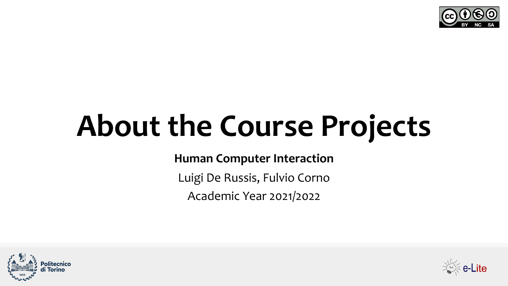

# **About the Course Projects**

**Human Computer Interaction**

Luigi De Russis, Fulvio Corno

Academic Year 2021/2022



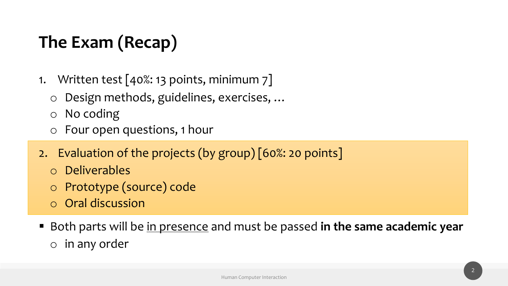# **The Exam (Recap)**

- 1. Written test [40%: 13 points, minimum 7]
	- o Design methods, guidelines, exercises, …
	- o No coding
	- o Four open questions, 1 hour
- 2. Evaluation of the projects (by group) [60%: 20 points]
	- o Deliverables
	- o Prototype (source) code
	- o Oral discussion
- Both parts will be in presence and must be passed in the same academic year o in any order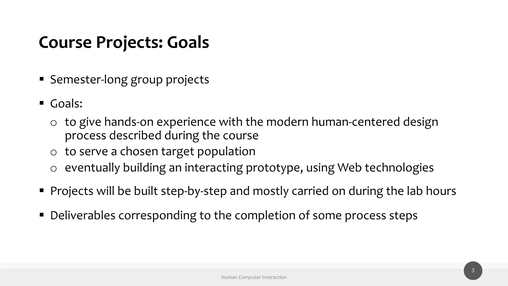#### **Course Projects: Goals**

- Semester-long group projects
- Goals:
	- o to give hands-on experience with the modern human-centered design process described during the course
	- o to serve a chosen target population
	- o eventually building an interacting prototype, using Web technologies
- Projects will be built step-by-step and mostly carried on during the lab hours
- Deliverables corresponding to the completion of some process steps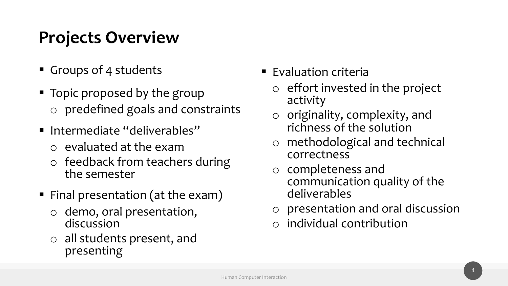# **Projects Overview**

- Groups of 4 students
- Topic proposed by the group o predefined goals and constraints
- Intermediate "deliverables"
	- o evaluated at the exam
	- o feedback from teachers during the semester
- Final presentation (at the exam)
	- o demo, oral presentation, discussion
	- o all students present, and presenting
- Evaluation criteria
	- o effort invested in the project activity
	- o originality, complexity, and richness of the solution
	- o methodological and technical correctness
	- o completeness and communication quality of the deliverables
	- o presentation and oral discussion
	- o individual contribution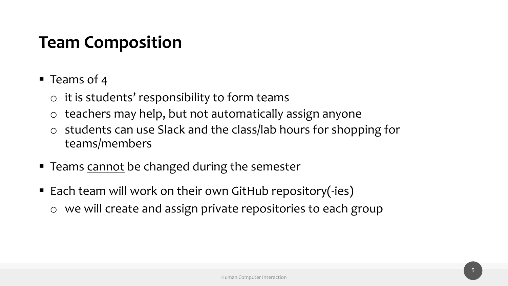### **Team Composition**

- Teams of 4
	- $\circ$  it is students' responsibility to form teams
	- o teachers may help, but not automatically assign anyone
	- o students can use Slack and the class/lab hours for shopping for teams/members
- Teams cannot be changed during the semester
- Each team will work on their own GitHub repository(-ies) o we will create and assign private repositories to each group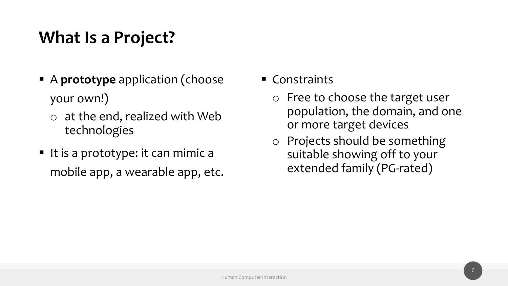# **What Is a Project?**

- A **prototype** application (choose your own!)
	- o at the end, realized with Web technologies
- It is a prototype: it can mimic a mobile app, a wearable app, etc.
- Constraints
	- o Free to choose the target user population, the domain, and one or more target devices
	- o Projects should be something suitable showing off to your extended family (PG-rated)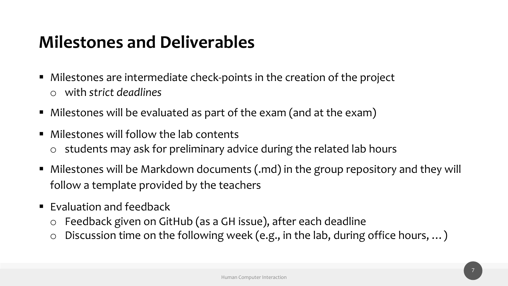# **Milestones and Deliverables**

- Milestones are intermediate check-points in the creation of the project o with *strict deadlines*
- Milestones will be evaluated as part of the exam (and at the exam)
- Milestones will follow the lab contents  $\circ$  students may ask for preliminary advice during the related lab hours
- Milestones will be Markdown documents (.md) in the group repository and they will follow a template provided by the teachers
- $\blacksquare$  Evaluation and feedback
	- o Feedback given on GitHub (as a GH issue), after each deadline
	- o Discussion time on the following week (e.g., in the lab, during office hours, …)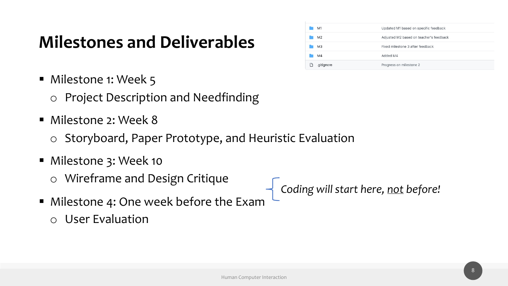### **Milestones and Deliverables**

- Milestone 1: Week 5
	- o Project Description and Needfinding
- § Milestone 2: Week 8
	- o Storyboard, Paper Prototype, and Heuristic Evaluation
- Milestone 3: Week 10
	- o Wireframe and Design Critique
- *Coding will start here, not before!*
- **Milestone 4: One week before the Exam** o User Evaluation

| M <sub>1</sub> | Updated M1 based on specific feedback   |
|----------------|-----------------------------------------|
| M <sub>2</sub> | Adjusted M2 based on teacher's feedback |
| M <sub>3</sub> | Fixed milestone 3 after feedback        |
| M4             | Added M4                                |
| .gitignore     | Progress on milestone 2                 |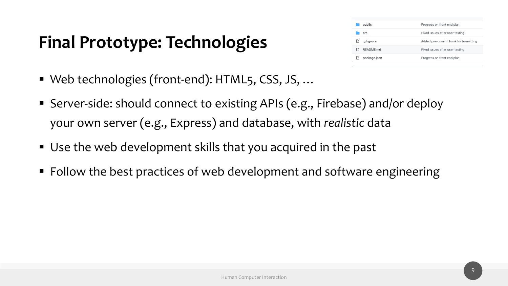# **Final Prototype: Technologies**

| public       | Progress on front end plan           |
|--------------|--------------------------------------|
| <b>Src</b>   | Fixed issues after user testing      |
| .gitignore   | Added pre-commit hook for formatting |
| README.md    | Fixed issues after user testing      |
| package.json | Progress on front end plan           |

- Web technologies (front-end): HTML5, CSS, JS, ...
- Server-side: should connect to existing APIs (e.g., Firebase) and/or deploy your own server (e.g., Express) and database, with *realistic* data
- Use the web development skills that you acquired in the past
- Follow the best practices of web development and software engineering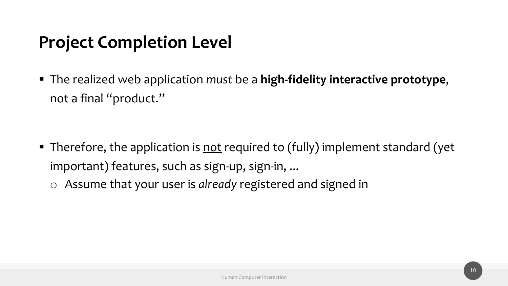### **Project Completion Level**

§ The realized web application *must* be a **high-fidelity interactive prototype**, not a final "product."

■ Therefore, the application is not required to (fully) implement standard (yet important) features, such as sign-up, sign-in, ... o Assume that your user is *already* registered and signed in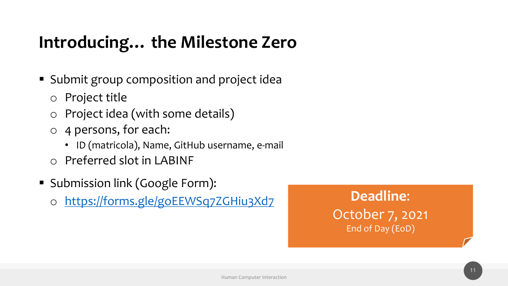# **Introducing… the Milestone Zero**

- [Submit group composition and project ide](https://forms.gle/goEEWSq7ZGHiu3Xd7)a
	- o Project title
	- o Project idea (with some details)
	- o 4 persons, for each:
		- ID (matricola), Name, GitHub username, e-mail
	- o Preferred slot in LABINF
- § Submission link (Google Form):
	- o https://forms.gle/goEEWSq7ZGHiu3Xd7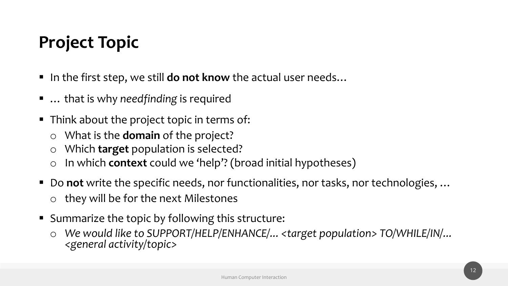# **Project Topic**

- In the first step, we still **do not know** the actual user needs...
- ... that is why *needfinding* is required
- Think about the project topic in terms of:
	- o What is the **domain** of the project?
	- o Which **target** population is selected?
	- o In which **context** could we 'help'? (broad initial hypotheses)
- Do not write the specific needs, nor functionalities, nor tasks, nor technologies, ... o they will be for the next Milestones
- Summarize the topic by following this structure:
	- o *We would like to SUPPORT/HELP/ENHANCE/... <target population> TO/WHILE/IN/... <general activity/topic>*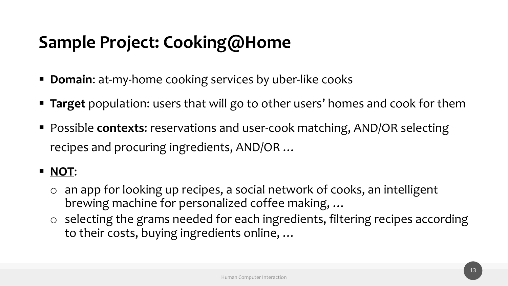# **Sample Project: Cooking@Home**

- **Domain:** at-my-home cooking services by uber-like cooks
- § **Target** population: users that will go to other users' homes and cook for them
- Possible **contexts**: reservations and user-cook matching, AND/OR selecting recipes and procuring ingredients, AND/OR …

#### § **NOT**:

- o an app for looking up recipes, a social network of cooks, an intelligent brewing machine for personalized coffee making, …
- o selecting the grams needed for each ingredients, filtering recipes according to their costs, buying ingredients online, …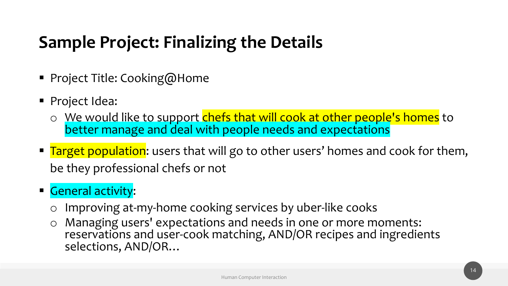# **Sample Project: Finalizing the Details**

- Project Title: Cooking@Home
- Project Idea:
	- o We would like to support chefs that will cook at other people's homes to better manage and deal with people needs and expectations
- Target population: users that will go to other users' homes and cook for them, be they professional chefs or not
- General activity:
	- o Improving at-my-home cooking services by uber-like cooks
	- o Managing users' expectations and needs in one or more moments: reservations and user-cook matching, AND/OR recipes and ingredients selections, AND/OR…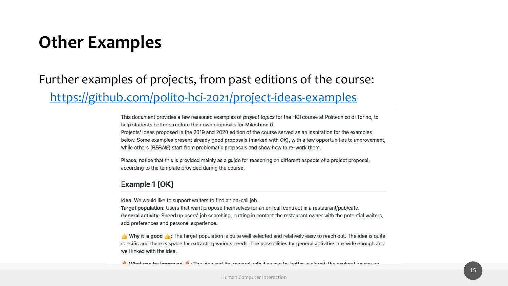### **Other Examples**

Further examples of projects, from past editions of the https://github.com/polito-hci-2021/project-ideas-exa

> This document provides a few reasoned examples of project topics for the HCI course at help students better structure their own proposals for Milestone 0.

> Projects' ideas proposed in the 2019 and 2020 edition of the course served as an inspira below. Some examples present already good proposals (marked with OK), with a few opp while others (REFINE) start from problematic proposals and show how to re-work them.

> Please, notice that this is provided mainly as a guide for reasoning on different aspects o according to the template provided during the course.

#### Example 1 [OK]

Idea: We would like to support waiters to find an on-call job.

Target population: Users that want propose themselves for an on-call contract in a resta General activity: Speed up users' job searching, putting in contact the restaurant owner add preferences and personal experience.

**E** Why it is good **E**: The target population is quite well selected and relatively easy to specific and there is space for extracting various needs. The possibilities for general acti well linked with the idea.

A. What can be improved A. The idea and the general activities can be better evolored